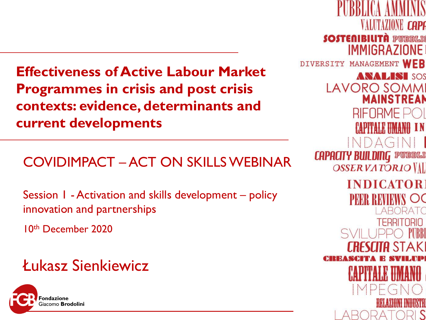**Effectiveness of Active Labour Market Programmes in crisis and post crisis contexts: evidence, determinants and current developments**

COVIDIMPACT – ACT ON SKILLS WEBINAR

Session 1 - Activation and skills development – policy innovation and partnerships

10th December 2020

### Łukasz Sienkiewicz



**VALUTAZIONE CAPE SOSTENIBILITÀ PUBBLIO IMMIGRAZIONE** DIVERSITY MANAGEMENT WEB **ANALISI SOS LAVORO SOMMI MAINSTREAN** RIFORME P **CAPITALE HMANO IN** INDAGINI **CAPACITY BUILDING PUBBLE OSSERVATORIO VAL INDICATOR** OC TERRITORIO PURRI IIA STAKI  $\mathsf{IMPE}$  $\left( -\right)$ 1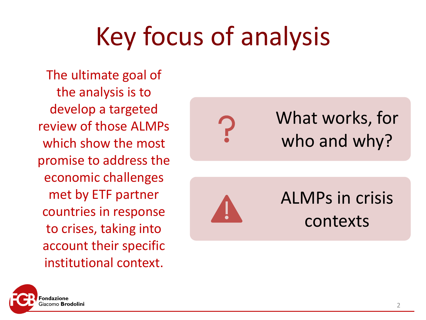# Key focus of analysis

The ultimate goal of the analysis is to develop a targeted review of those ALMPs which show the most promise to address the economic challenges met by ETF partner countries in response to crises, taking into account their specific institutional context.

What works, for who and why?



ALMPs in crisis contexts

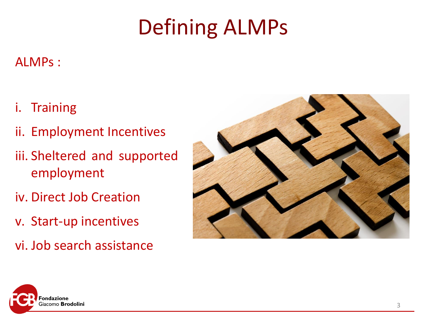## Defining ALMPs

### ALMPs :

- i. Training
- ii. Employment Incentives
- iii. Sheltered and supported employment
- iv. Direct Job Creation
- v. Start-up incentives
- vi. Job search assistance



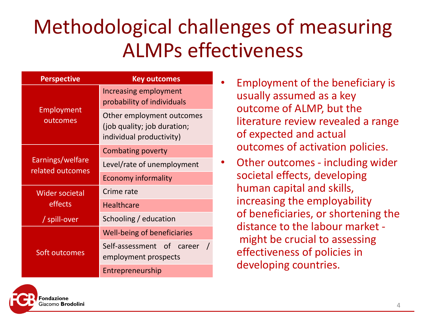### Methodological challenges of measuring ALMPs effectiveness

| <b>Perspective</b>                   | <b>Key outcomes</b>                                                                  |
|--------------------------------------|--------------------------------------------------------------------------------------|
| Employment<br>outcomes               | Increasing employment<br>probability of individuals                                  |
|                                      | Other employment outcomes<br>(job quality; job duration;<br>individual productivity) |
| Earnings/welfare<br>related outcomes | Combating poverty                                                                    |
|                                      | Level/rate of unemployment                                                           |
|                                      | <b>Economy informality</b>                                                           |
| <b>Wider societal</b><br>effects     | Crime rate                                                                           |
|                                      | <b>Healthcare</b>                                                                    |
| / spill-over                         | Schooling / education                                                                |
| Soft outcomes                        | Well-being of beneficiaries                                                          |
|                                      | Self-assessment of career<br>employment prospects                                    |
|                                      | Entrepreneurship                                                                     |

- Employment of the beneficiary is usually assumed as a key outcome of ALMP, but the literature review revealed a range of expected and actual outcomes of activation policies.
- Other outcomes including wider societal effects, developing human capital and skills, increasing the employability of beneficiaries, or shortening the distance to the labour market might be crucial to assessing effectiveness of policies in developing countries.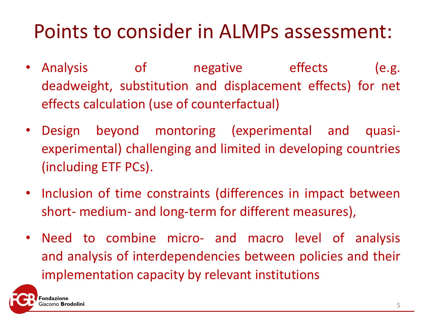### Points to consider in ALMPs assessment:

- Analysis of angestive effects (e.g. deadweight, substitution and displacement effects) for net effects calculation (use of counterfactual)
- Design beyond montoring (experimental and quasiexperimental) challenging and limited in developing countries (including ETF PCs).
- Inclusion of time constraints (differences in impact between short- medium- and long-term for different measures),
- Need to combine micro- and macro level of analysis and analysis of interdependencies between policies and their implementation capacity by relevant institutions

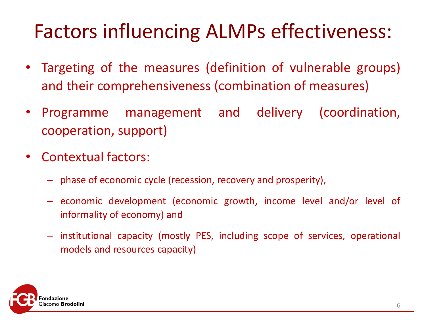### Factors influencing ALMPs effectiveness:

- Targeting of the measures (definition of vulnerable groups) and their comprehensiveness (combination of measures)
- Programme management and delivery (coordination, cooperation, support)
- Contextual factors:
	- phase of economic cycle (recession, recovery and prosperity),
	- economic development (economic growth, income level and/or level of informality of economy) and
	- institutional capacity (mostly PES, including scope of services, operational models and resources capacity)

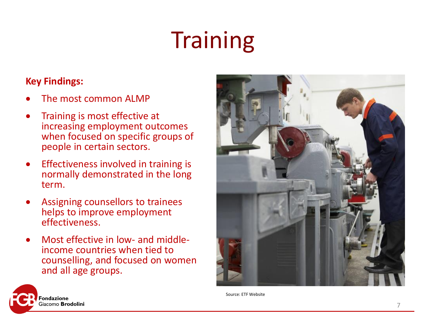# **Training**

- The most common ALMP
- Training is most effective at increasing employment outcomes when focused on specific groups of people in certain sectors.
- Effectiveness involved in training is normally demonstrated in the long term.
- Assigning counsellors to trainees helps to improve employment effectiveness.
- Most effective in low- and middleincome countries when tied to counselling, and focused on women and all age groups.





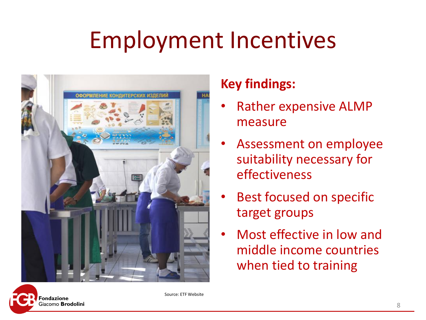# Employment Incentives



### **Key findings:**

- Rather expensive ALMP measure
- Assessment on employee suitability necessary for effectiveness
- Best focused on specific target groups
- Most effective in low and middle income countries when tied to training



Source: ETF Website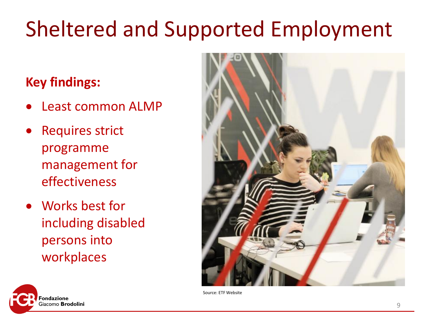## Sheltered and Supported Employment

- Least common ALMP
- **Requires strict** programme management for effectiveness
- Works best for including disabled persons into workplaces





Source: ETF Website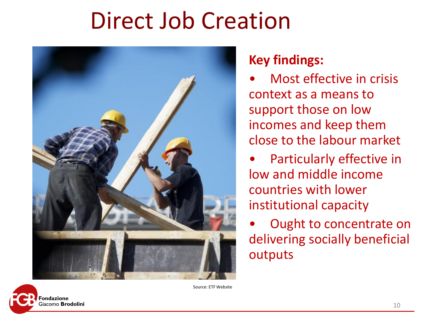## Direct Job Creation



- Most effective in crisis context as a means to support those on low incomes and keep them close to the labour market
- Particularly effective in low and middle income countries with lower institutional capacity
- Ought to concentrate on delivering socially beneficial outputs



Source: ETF Website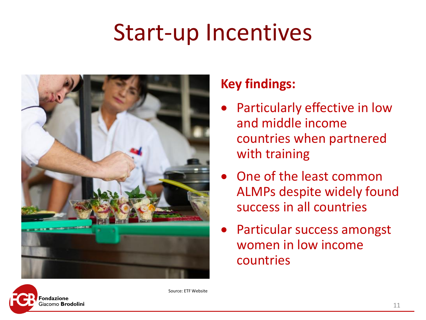## Start-up Incentives



### **Key findings:**

- Particularly effective in low and middle income countries when partnered with training
- One of the least common ALMPs despite widely found success in all countries
- Particular success amongst women in low income countries



Source: ETF Website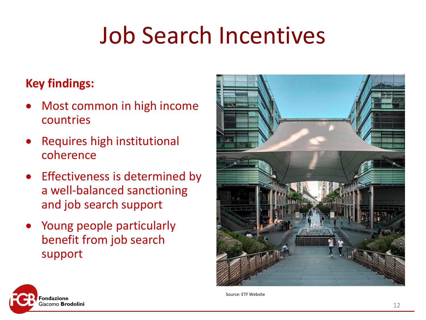# Job Search Incentives

- Most common in high income countries
- Requires high institutional coherence
- Effectiveness is determined by a well-balanced sanctioning and job search support
- Young people particularly benefit from job search support





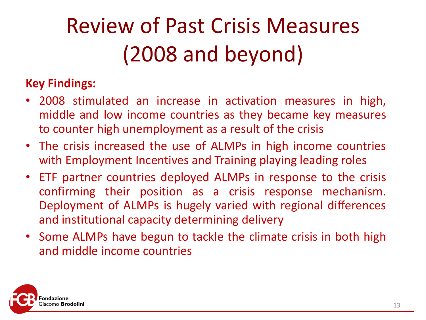# Review of Past Crisis Measures (2008 and beyond)

- 2008 stimulated an increase in activation measures in high, middle and low income countries as they became key measures to counter high unemployment as a result of the crisis
- The crisis increased the use of ALMPs in high income countries with Employment Incentives and Training playing leading roles
- ETF partner countries deployed ALMPs in response to the crisis confirming their position as a crisis response mechanism. Deployment of ALMPs is hugely varied with regional differences and institutional capacity determining delivery
- Some ALMPs have begun to tackle the climate crisis in both high and middle income countries

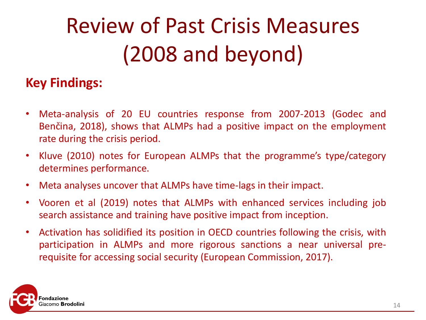# Review of Past Crisis Measures (2008 and beyond)

- Meta-analysis of 20 EU countries response from 2007-2013 (Godec and Benčina, 2018), shows that ALMPs had a positive impact on the employment rate during the crisis period.
- Kluve (2010) notes for European ALMPs that the programme's type/category determines performance.
- Meta analyses uncover that ALMPs have time-lags in their impact.
- Vooren et al (2019) notes that ALMPs with enhanced services including job search assistance and training have positive impact from inception.
- Activation has solidified its position in OECD countries following the crisis, with participation in ALMPs and more rigorous sanctions a near universal prerequisite for accessing social security (European Commission, 2017).

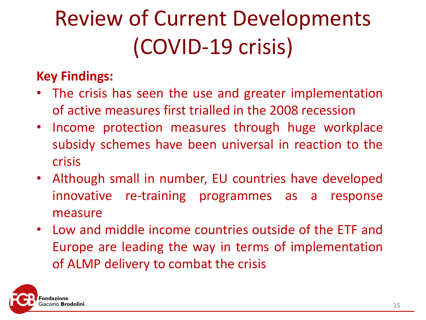# Review of Current Developments (COVID-19 crisis)

- The crisis has seen the use and greater implementation of active measures first trialled in the 2008 recession
- Income protection measures through huge workplace subsidy schemes have been universal in reaction to the crisis
- Although small in number, EU countries have developed innovative re-training programmes as a response measure
- Low and middle income countries outside of the ETF and Europe are leading the way in terms of implementation of ALMP delivery to combat the crisis

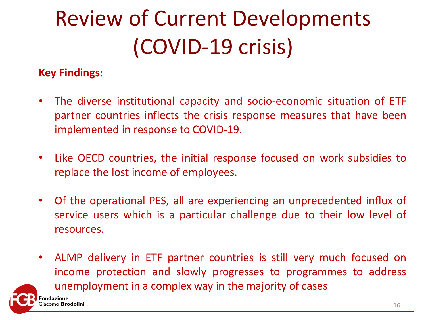# Review of Current Developments (COVID-19 crisis)

- The diverse institutional capacity and socio-economic situation of ETF partner countries inflects the crisis response measures that have been implemented in response to COVID-19.
- Like OECD countries, the initial response focused on work subsidies to replace the lost income of employees.
- Of the operational PES, all are experiencing an unprecedented influx of service users which is a particular challenge due to their low level of resources.
- ALMP delivery in ETF partner countries is still very much focused on income protection and slowly progresses to programmes to address unemployment in a complex way in the majority of cases